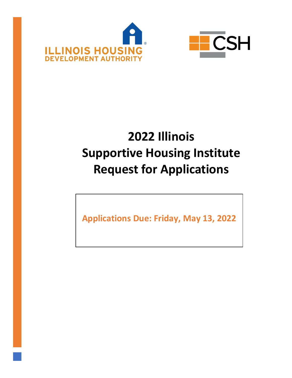



# **2022 Illinois Supportive Housing Institute Request for Applications**

**Applications Due: Friday, May 13, 2022**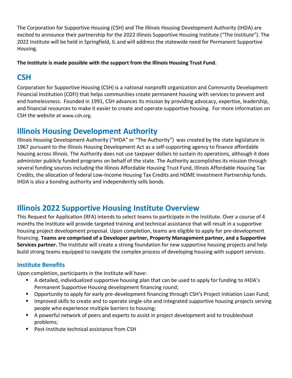The Corporation for Supportive Housing (CSH) and The Illinois Housing Development Authority (IHDA) are excited to announce their partnership for the 2022 Illinois Supportive Housing Institute ("The Institute"). The 2022 Institute will be held in Springfield, IL and will address the statewide need for Permanent Supportive Housing.

**The Institute is made possible with the support from the Illinois Housing Trust Fund.**

# **CSH**

Corporation for Supportive Housing (CSH) is a national nonprofit organization and Community Development Financial Institution (CDFI) that helps communities create permanent housing with services to prevent and end homelessness. Founded in 1991, CSH advances its mission by providing advocacy, expertise, leadership, and financial resources to make it easier to create and operate supportive housing. For more information on CSH the website at [www.csh.org](http://www.csh.org/).

# **Illinois Housing Development Authority**

Illinois Housing Development Authority ("IHDA" or "The Authority") was created by the state legislature in 1967 pursuant to the [Illinois Housing Development Act](http://www.ilga.gov/legislation/ilcs/ilcs3.asp?ActID=384&ChapterID=5) as a self-supporting agency to finance affordable housing across Illinois. The Authority does not use taxpayer dollars to sustain its operations, although it does administer publicly funded programs on behalf of the state. The Authority accomplishes its mission through several funding sources including the Illinois Affordable Housing Trust Fund, Illinois Affordable Housing Tax Credits, the allocation of federal Low-Income Housing Tax Credits and HOME Investment Partnership funds. IHDA is also a bonding authority and independently sells bonds.

# **Illinois 2022 Supportive Housing Institute Overview**

This Request for Application (RFA) intends to select teams to participate in the Institute. Over a course of 4 months the Institute will provide targeted training and technical assistance that will result in a supportive housing project development proposal. Upon completion, teams are eligible to apply for pre-development financing. **Teams are comprised of a Developer partner, Property Management partner, and a Supportive Services partner.** The Institute will create a strong foundation for new supportive housing projects and help build strong teams equipped to navigate the complex process of developing housing with support services.

# **Institute Benefits**

Upon completion, participants in the Institute will have:

- A detailed, individualized supportive housing plan that can be used to apply for funding to IHDA's Permanent Supportive Housing development financing round;
- Opportunity to apply for early pre-development financing through CSH's Project Initiation Loan Fund;
- Improved skills to create and to operate single-site and integrated supportive housing projects serving people who experience multiple barriers to housing;
- A powerful network of peers and experts to assist in project development and to troubleshoot problems;
- Post-Institute technical assistance from CSH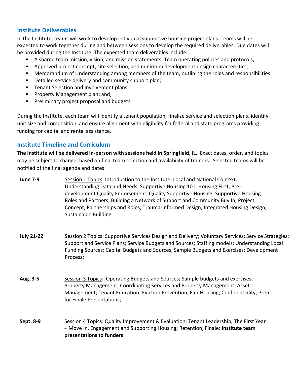#### **Institute Deliverables**

In the Institute, teams will work to develop individual supportive housing project plans. Teams will be expected to work together during and between sessions to develop the required deliverables. Due dates will be provided during the Institute. The expected team deliverables include:

- A shared team mission, vision, and mission statements; Team operating policies and protocols;
- Approved project concept, site selection, and minimum development design characteristics;
- Memorandum of Understanding among members of the team, outlining the roles and responsibilities
- Detailed service delivery and community support plan;
- **Tenant Selection and Involvement plans;**
- **Property Management plan; and,**
- **Preliminary project proposal and budgets.**

During the Institute, each team will identify a tenant population, finalize service and selection plans, identify unit size and composition, and ensure alignment with eligibility for federal and state programs providing funding for capital and rental assistance.

## **Institute Timeline and Curriculum**

**The Institute will be delivered in-person with sessions held in Springfield, IL.** Exact dates, order, and topics may be subject to change, based on final team selection and availability of trainers. Selected teams will be notified of the final agenda and dates.

**June 7-9** Session 1 Topics: Introduction to the Institute; Local and National Context; Understanding Data and Needs; Supportive Housing 101; Housing First; Predevelopment Quality Endorsement; Quality Supportive Housing; Supportive Housing Roles and Partners; Building a Network of Support and Community Buy In; Project Concept; Partnerships and Roles; Trauma-Informed Design; Integrated Housing Design; Sustainable Building

- **July 21-22** Session 2 Topics: Supportive Services Design and Delivery; Voluntary Services; Service Strategies; Support and Service Plans; Service Budgets and Sources; Staffing models; Understanding Local Funding Sources; Capital Budgets and Sources; Sample Budgets and Exercises; Development Process;
- **Aug. 3-5** Session 3 Topics: Operating Budgets and Sources; Sample budgets and exercises; Property Management; Coordinating Services and Property Management; Asset Management; Tenant Education; Eviction Prevention; Fair Housing; Confidentiality; Prep for Finale Presentations;
- **Sept. 8-9** Session 4 Topics: Quality Improvement & Evaluation; Tenant Leadership; The First Year – Move In, Engagement and Supporting Housing; Retention; Finale: **Institute team presentations to funders**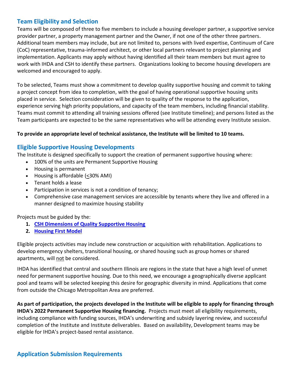#### **Team Eligibility and Selection**

Teams will be composed of three to five members to include a housing developer partner, a supportive service provider partner, a property management partner and the Owner, if not one of the other three partners. Additional team members may include, but are not limited to, persons with lived expertise, Continuum of Care (CoC) representative, trauma-informed architect, or other local partners relevant to project planning and implementation. Applicants may apply without having identified all their team members but must agree to work with IHDA and CSH to identify these partners. Organizations looking to become housing developers are welcomed and encouraged to apply.

To be selected, Teams must show a commitment to develop quality supportive housing and commit to taking a project concept from idea to completion, with the goal of having operational supportive housing units placed in service. Selection consideration will be given to quality of the response to the application, experience serving high priority populations, and capacity of the team members, including financial stability. Teams must commit to attending all training sessions offered (see Institute timeline); and persons listed as the Team participants are expected to be the same representatives who will be attending every Institute session.

#### **To provide an appropriate level of technical assistance, the Institute will be limited to 10 teams.**

#### **Eligible Supportive Housing Developments**

The Institute is designed specifically to support the creation of permanent supportive housing where:

- 100% of the units are Permanent Supportive Housing
- Housing is permanent
- Housing is affordable (<30% AMI)
- Tenant holds a lease
- Participation in services is not a condition of tenancy;
- Comprehensive case management services are accessible by tenants where they live and offered in a manner designed to maximize housing stability

Projects must be guided by the:

- **1. [CSH Dimensions of Quality Supportive Housing](http://www.csh.org/wp-content/uploads/2013/07/CSH_Dimensions_of_Quality_Supportive_Housing_guidebook.pdf)**
- **2. [Housing First Model](https://endhomelessness.org/resource/housing-first/)**

Eligible projects activities may include new construction or acquisition with rehabilitation. Applications to develop emergency shelters, transitional housing, or shared housing such as group homes or shared apartments, will not be considered.

IHDA has identified that central and southern Illinois are regions in the state that have a high level of unmet need for permanent supportive housing. Due to this need, we encourage a geographically diverse applicant pool and teams will be selected keeping this desire for geographic diversity in mind. Applications that come from outside the Chicago Metropolitan Area are preferred.

**As part of participation, the projects developed in the Institute will be eligible to apply for financing through IHDA's 2022 Permanent Supportive Housing financing.** Projects must meet all eligibility requirements, including compliance with funding sources, IHDA's underwriting and subsidy layering review, and successful completion of the Institute and Institute deliverables. Based on availability, Development teams may be eligible for IHDA's project-based rental assistance.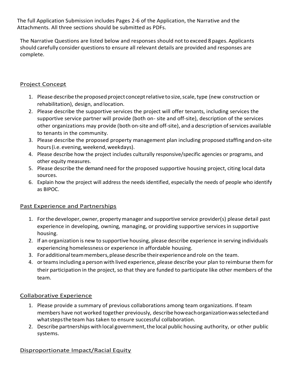The full Application Submission includes Pages 2-6 of the Application, the Narrative and the Attachments. All three sections should be submitted as PDFs.

The Narrative Questions are listed below and responses should notto exceed 8 pages. Applicants should carefully consider questionsto ensure all relevant details are provided and responses are complete.

## Project Concept

- 1. Please describe the proposed project conceptrelativetosize,scale,type (new construction or rehabilitation), design, andlocation.
- 2. Please describe the supportive services the project will offer tenants, including services the supportive service partner will provide (both on- site and off-site), description of the services other organizations may provide (both on-site and off-site), and a description of services available to tenants in the community.
- 3. Please describe the proposed property management plan including proposed staffingandon-site hours (i.e. evening, weekend, weekdays).
- 4. Please describe how the project includes culturally responsive/specific agencies or programs, and other equity measures.
- 5. Please describe the demand need for the proposed supportive housing project, citing local data sources.
- 6. Explain how the project will address the needs identified, especially the needs of people who identify as BIPOC.

## Past Experience and Partnerships

- 1. Forthe developer, owner, propertymanager and supportive service provider(s) please detail past experience in developing, owning, managing, or providing supportive services in supportive housing.
- 2. If an organization is new to supportive housing, please describe experience in serving individuals experiencing homelessness or experience in affordable housing.
- 3. Foradditionalteammembers,pleasedescribetheirexperienceandrole on the team.
- 4. orteamsincluding a person with lived experience, please describe your plan to reimburse them for their participation in the project, so that they are funded to participate like other members of the team.

#### Collaborative Experience

- 1. Please provide a summary of previous collaborations among team organizations. If team members have not worked together previously, describehoweachorganizationwasselectedand what steps the team has taken to ensure successful collaboration.
- 2. Describe partnerships with local government, the local public housing authority, or other public systems.

## Disproportionate Impact/Racial Equity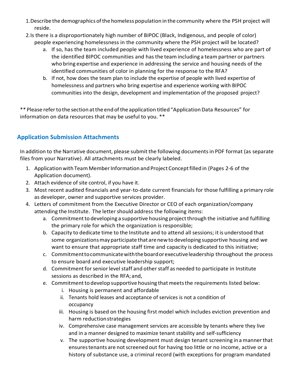- 1.Describe the demographics ofthe homeless population inthe community where the PSH project will reside.
- 2.Is there is a disproportionately high number of BIPOC (Black, Indigenous, and people of color) people experiencing homelessness in the community where the PSH project will be located?
	- a. If so, has the team included people with lived experience of homelessness who are part of the identified BIPOC communities and hasthe team including a team partner or partners who bring expertise and experience in addressing the service and housing needs of the identified communities of color in planning for the response to the RFA?
	- b. If not, how does the team plan to include the expertise of people with lived expertise of homelessness and partners who bring expertise and experience working with BIPOC communities into the design, development and implementation of the proposed project?

\*\* Please refer to the section at the end of the application titled "Application Data Resources" for information on data resources that may be useful to you. \*\*

# **Application Submission Attachments**

In addition to the Narrative document, please submit the following documentsin PDF format (as separate files from your Narrative). All attachments must be clearly labeled.

- 1. Application with Team Member Information and Project Concept filled in (Pages 2-6 of the Application document).
- 2. Attach evidence of site control, if you have it.
- 3. Most recent audited financials and year-to-date current financials for those fulfilling a primary role as developer, owner and supportive services provider.
- 4. Letters of commitment from the Executive Director or CEO of each organization/company attending the Institute. The letter should address the following items:
	- a. Commitment to developing a supportive housing project through the initiative and fulfilling the primary role for which the organization is responsible;
	- b. Capacity to dedicate time to the Institute and to attend all sessions; it is understood that some organizations may participate that are new to developing supportive housing and we want to ensure that appropriate staff time and capacity is dedicated to this initiative;
	- c. Commitmenttocommunicatewiththeboardorexecutiveleadership throughout the process to ensure board and executive leadership support;
	- d. Commitment for senior level staff and other staff as needed to participate in Institute sessions as described in the RFA;and,
	- e. Commitment to develop supportive housing that meets the requirements listed below:
		- i. Housing is permanent and affordable
		- ii. Tenants hold leases and acceptance of services is not a condition of occupancy
		- iii. Housing is based on the housing first model which includes eviction prevention and harm reductionstrategies
		- iv. Comprehensive case management services are accessible by tenants where they live and in a manner designed to maximize tenant stability and self-sufficiency
		- v. The supportive housing development must design tenant screening inamannerthat ensures tenants are not screened out for having too little or no income, active or a history of substance use, a criminal record (with exceptions for program mandated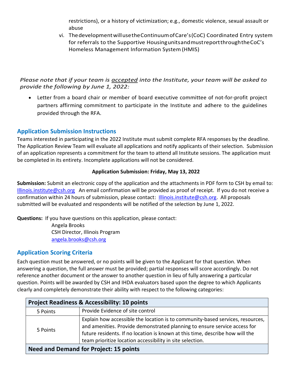restrictions), or a history of victimization; e.g., domestic violence, sexual assault or abuse

vi. ThedevelopmentwillusetheContinuumofCare's(CoC) Coordinated Entry system for referrals to the Supportive HousingunitsandmustreportthroughtheCoC's Homeless Management Information System(HMIS)

#### *Please note that if your team is accepted into the Institute, your team will be asked to provide the following by June 1, 2022:*

 Letter from a board chair or member of board executive committee of not-for-profit project partners affirming commitment to participate in the Institute and adhere to the guidelines provided through the RFA.

# **Application Submission Instructions**

Teams interested in participating in the 2022 Institute must submit complete RFA responses by the deadline. The Application Review Team will evaluate all applications and notify applicants of their selection. Submission of an application represents a commitment for the team to attend all Institute sessions. The application must be completed in its entirety. Incomplete applications will not be considered.

#### **Application Submission: Friday, May 13, 2022**

**Submission:** Submit an electronic copy of the application and the attachments in PDF form to CSH by email to: [Illinois.institute@csh.org](mailto:Illinois.institute@csh.org) An email confirmation will be provided as proof of receipt. If you do not receive a confirmation within 24 hours of submission, please contact: [Illinois.institute@csh.org.](mailto:Illinois.institute@csh.org) All proposals submitted will be evaluated and respondents will be notified of the selection by June 1, 2022.

**Questions:** If you have questions on this application, please contact: Angela Brooks

CSH Director, Illinois Program [angela.brooks@csh.org](mailto:angela.brooks@csh.org)

## **Application Scoring Criteria**

Each question must be answered, or no points will be given to the Applicant for that question. When answering a question, the full answer must be provided; partial responses will score accordingly. Do not reference another document or the answer to another question in lieu of fully answering a particular question. Points will be awarded by CSH and IHDA evaluators based upon the degree to which Applicants clearly and completely demonstrate their ability with respect to the following categories:

| <b>Project Readiness &amp; Accessibility: 10 points</b> |                                                                                                                                                                                                                                                                                                           |
|---------------------------------------------------------|-----------------------------------------------------------------------------------------------------------------------------------------------------------------------------------------------------------------------------------------------------------------------------------------------------------|
| 5 Points                                                | Provide Evidence of site control                                                                                                                                                                                                                                                                          |
| 5 Points                                                | Explain how accessible the location is to community-based services, resources,<br>and amenities. Provide demonstrated planning to ensure service access for<br>future residents. If no location is known at this time, describe how will the<br>team prioritize location accessibility in site selection. |
| <b>Need and Demand for Project: 15 points</b>           |                                                                                                                                                                                                                                                                                                           |